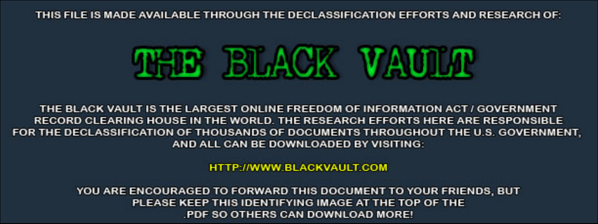THIS FILE IS MADE AVAILABLE THROUGH THE DECLASSIFICATION EFFORTS AND RESEARCH OF:



THE BLACK VAULT IS THE LARGEST ONLINE FREEDOM OF INFORMATION ACT / GOVERNMENT RECORD CLEARING HOUSE IN THE WORLD. THE RESEARCH EFFORTS HERE ARE RESPONSIBLE FOR THE DECLASSIFICATION OF THOUSANDS OF DOCUMENTS THROUGHOUT THE U.S. GOVERNMENT, AND ALL CAN BE DOWNLOADED BY VISITING:

**HTTP://WWW.BLACKVAULT.COM** 

YOU ARE ENCOURAGED TO FORWARD THIS DOCUMENT TO YOUR FRIENDS, BUT PLEASE KEEP THIS IDENTIFYING IMAGE AT THE TOP OF THE PDF SO OTHERS CAN DOWNLOAD MORE!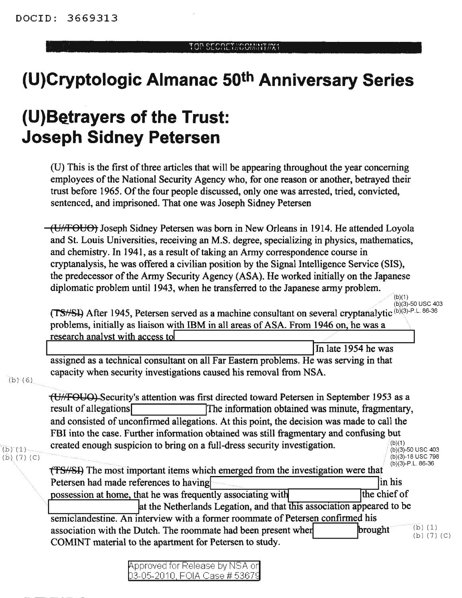## **(U)Cryptologic Almanac 50th Anniversary Series**

## **(U)Be.trayers of the Trust: Joseph Sidney Petersen**

 $(U)$  This is the first of three articles that will be appearing throughout the year concerning employees of the National Security Agency who, for one reason or another, betrayed their trust before 1965. Of the four people discussed, only one was arrested, tried, convicted, sentenced, and imprisoned. That one was Joseph Sidney Petersen

(U/fFOUO) Joseph Sidney Petersen was born in New Orleans in 1914. He attended Loyola and St. Louis Universities, receiving an M.S. degree, specializing in physics, mathematics, and chemistry. In 1941, as a result of taking an Army correspondence course in cryptanalysis, he was offered a civilian position by the Signal Intelligence Service (SIS), the predecessor of the Army Security Agency (ASA). He worked initially on the Japanese diplomatic problem until 1943, when he transferred to the Japanese army problem.

(b)(3)-50 usc 403 (TS//SI) After 1945, Petersen served as a machine consultant on several cryptanalytic (b)(3)-P.L. 86-36 problems, initially as liaison with IBM in all areas of ASA. From 1946 on, he was a research analyst with access to

In late <sup>1954</sup> he was L...---:-\_-:--\_\_--:---:---:--\_----:: "':":""":=---=- ""':""":"\_----:::\_=\_' assigned as a technical consultant on all Far Eastern problems. He was serving in that capacity when security investigations caused his removal from NSA.

 $(b)$  (6)

<del>(U//FOUO)</del> Security's attention was first directed toward Petersen in September 1953 as a result of allegations **IThe information obtained was minute, fragmentary,** and consisted of unconfirmed allegations. At this point, the decision was made to call the FBI into the case. Further information obtained was still fragmentary and confusing but created enough suspicion to bring on a full-dress security investigation.  $\binom{(b)(1)}{(b)(3)-50 \text{ USC }403}$ 

 $(b)$   $(1)$ . (b) (7) (C) (b)(3)-18 usc 798  $(b)(3) - P.L.86-36$ 

(b)(1)

**TES//SI**) The most important items which emerged from the investigation were that Petersen had made references to having in his in his possession at home, that he was frequently associating with this association appeared to be  $\frac{1}{2}$  at the Netherlands Legation, and that this association appeared to be semiclandestine. An interview with a former roommate of Petersen confirmed his association with the Dutch. The roommate had been present when  ${\bf b}$  brought  ${\bf c}$  is  $(1)$ COMINT material to the apartment for Petersen to study.

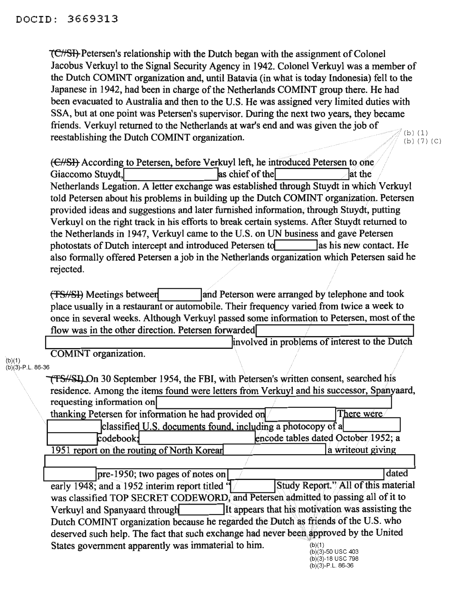. (b) (1) (b) (7) (C) **1C/SIFF** Petersen's relationship with the Dutch began with the assignment of Colonel Jacobus Verkuyl to the Signal Security Agency in 1942. Colonel Verkuyl was a member of the Dutch COMINT organization and, until Batavia (in what is today Indonesia) fell to the Japanese in 1942, had been in charge of the Netherlands COMINT group there. He had been evacuated to Australia and then to the U.S. He was assigned very limited duties with SSA, but at one point was Petersen's supervisor. During the next two years, they became friends. Verkuyl returned to the Netherlands at war's end and was given the job of reestablishing the Dutch COMINT organization.

 $(E/SE)$  According to Petersen, before Verkuyl left, he introduced Petersen to one Giaccomo Stuydt, **a** las chief of the **last the** lat the Netherlands Legation. A letter exchange was established through Stuydt in which Verkuyl told Petersen about his problems in building up the Dutch COMINT organization. Petersen provided ideas and suggestions and later furnished information, through Stuydt, putting Verkuyl on the right track in his efforts to break certain systems. After Stuydt returned to the Netherlands in 1947, Verkuyl came to the U.S. on UN business and gave Petersen photostats of Dutch intercept and introduced Petersen to las his new contact. He also formally offered Petersen a job in the Netherlands organization which Petersen said he rejected.

(TS/SI) Meetings between and land Peterson were arranged by telephone and took place usually in a restaurant or automobile. Their frequency varied/from twice a week to once in several weeks. Although Verkuyl passed some information to Petersen, most of the

flow was in the other direction. Petersen forwarded<br> $\frac{1}{2}$  involved in problems of interest to the Dutch COMINT organization.

(b)(1)  $(b)(3)-P.L.86-36$ 

> \:'fSN~I) On 30 September 1954, the FBI, with Petersen's written consent, searched his residence. Among the items found were letters from Verkuyl and his successor, Spanyaard,<br>requesting information on<br>thanking Petersen for information he had provided on There were

| thanking Petersen for information he had provided on        | There were                          |  |
|-------------------------------------------------------------|-------------------------------------|--|
| classified U.S. documents found, including a photocopy of a |                                     |  |
| codebook                                                    | encode tables dated October 1952; a |  |
| 1951 report on the routing of North Korear                  | a writeout giving                   |  |
|                                                             |                                     |  |

pre-1950; two pages of notes on dated early 1948; and a 1952 interim report titled  $\frac{1}{2}$  . Study Report."/All of this material was classified TOP SECRET CODEWORD, and Petersen admitted to passing all of it to Verkuyl and Spanyaard through lit appears that his motivation was assisting the Dutch COMINT organization because he regarded the Dutch as friends of the U.S. who deserved such help. The fact that such exchange had never been approved by the United States government apparently was immaterial to him.  $(b)(1)$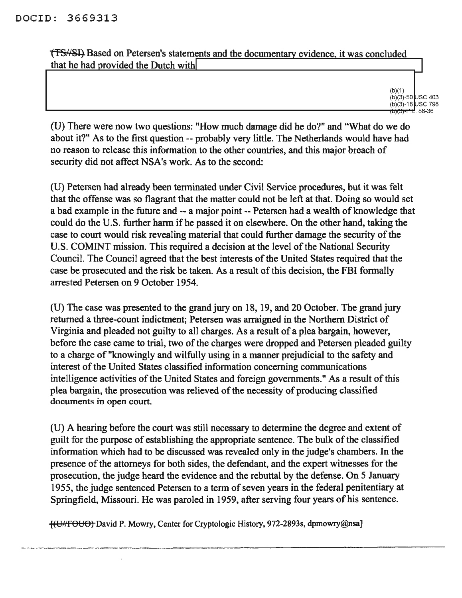**(TS/SI)** Based on Petersen's statements and the documentary evidence, it was concluded that he had provided the Dutch with

> (b)(1)  $(b)(3)-50$  USC 403 (b)(3)-18 USC 798<br><del>(b)(3)-P.L</del>. 86-36

(D) There were now two questions: "How much damage did he do?" and "What do we do about it?" As to the first question -- probably very little. The Netherlands would have had no reason to release this information to the other countries, and this major breach of security did not affect NSA's work. As to the second:

(D) Petersen had already been tenninated under Civil Service procedures, but it was felt that the offense was so flagrant that the matter could not be left at that. Doing so would set a bad example in the future and -- a major point -- Petersen had a wealth of knowledge that could do the U.S. further harm if he passed it on elsewhere. On the other hand, taking the case to court would risk revealing material that could further damage the security of the U.S. COMINT mission. This required a decision at the level of the National Security Council. The Council agreed that the best interests of the United States required that the case be prosecuted and the risk be taken. As a result of this decision, the FBI formally arrested Petersen on 9 October 1954.

(U) The case was presented to the grand jury on 18, 19, and 20 October. The grand jury returned a three-count indictment; Petersen was arraigned in the Northern District of Virginia and pleaded not guilty to all charges. As a result of a plea bargain, however, before the case came to trial, two of the charges were dropped and Petersen pleaded guilty to a charge of "knowingly and wilfully using in a manner prejudicial to the safety and interest of the United States classified information concerning communications intelligence activities of the United States and foreign governments." As a result of this plea bargain, the prosecution was relieved of the necessity of producing classified documents in open court.

(U) A hearing before the court was still necessary to determine the degree and extent of guilt for the purpose of establishing the appropriate sentence. The bulk of the classified information which had to be discussed was revealed only in the judge's chambers. In the presence of the attorneys for both sides, the defendant, and the expert witnesses for the prosecution, the judge heard the evidence and the rebuttal by the defense. On 5 January 1955, the judge sentenced Petersen to a term of seven years in the federal penitentiary at Springfield, Missouri. He was paroled in 1959, after serving four years of his sentence.

[(UIIFOUO~ David P. Mowry, Center for Cryptologic History, 972-2893s, dpmowry@nsa]

.\_------\_.-